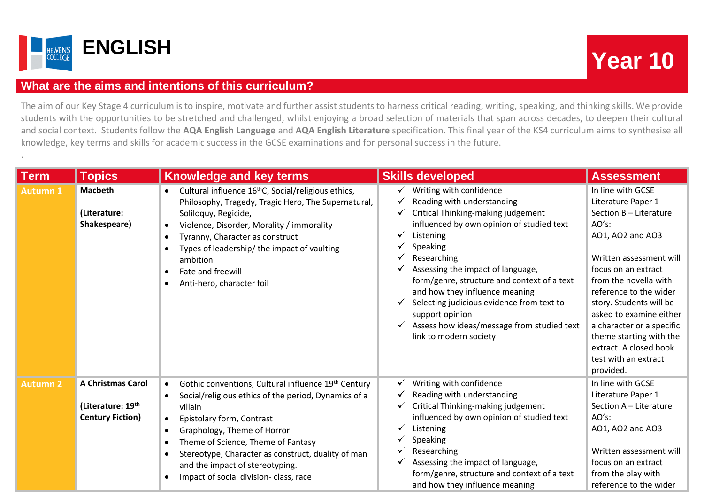

.

## **What are the aims and intentions of this curriculum?**

The aim of our Key Stage 4 curriculum is to inspire, motivate and further assist students to harness critical reading, writing, speaking, and thinking skills. We provide students with the opportunities to be stretched and challenged, whilst enjoying a broad selection of materials that span across decades, to deepen their cultural and social context. Students follow the **AQA English Language** and **AQA English Literature** specification. This final year of the KS4 curriculum aims to synthesise all knowledge, key terms and skills for academic success in the GCSE examinations and for personal success in the future.

| <b>Term</b>     | <b>Topics</b>                                                            | <b>Knowledge and key terms</b>                                                                                                                                                                                                                                                                                                                                                                     | <b>Skills developed</b>                                                                                                                                                                                                                                                                                                                                                                                                                                                      | <b>Assessment</b>                                                                                                                                                                                                                                                                                                                                                                   |
|-----------------|--------------------------------------------------------------------------|----------------------------------------------------------------------------------------------------------------------------------------------------------------------------------------------------------------------------------------------------------------------------------------------------------------------------------------------------------------------------------------------------|------------------------------------------------------------------------------------------------------------------------------------------------------------------------------------------------------------------------------------------------------------------------------------------------------------------------------------------------------------------------------------------------------------------------------------------------------------------------------|-------------------------------------------------------------------------------------------------------------------------------------------------------------------------------------------------------------------------------------------------------------------------------------------------------------------------------------------------------------------------------------|
| <b>Autumn 1</b> | <b>Macbeth</b><br>(Literature:<br>Shakespeare)                           | Cultural influence 16 <sup>th</sup> C, Social/religious ethics,<br>Philosophy, Tragedy, Tragic Hero, The Supernatural,<br>Soliloquy, Regicide,<br>Violence, Disorder, Morality / immorality<br>$\bullet$<br>Tyranny, Character as construct<br>$\bullet$<br>Types of leadership/ the impact of vaulting<br>ambition<br>Fate and freewill<br>$\bullet$<br>Anti-hero, character foil<br>$\bullet$    | Writing with confidence<br>✓<br>Reading with understanding<br>✔<br>Critical Thinking-making judgement<br>✔<br>influenced by own opinion of studied text<br>Listening<br>Speaking<br>Researching<br>Assessing the impact of language,<br>✔<br>form/genre, structure and context of a text<br>and how they influence meaning<br>Selecting judicious evidence from text to<br>✔<br>support opinion<br>Assess how ideas/message from studied text<br>✔<br>link to modern society | In line with GCSE<br>Literature Paper 1<br>Section B - Literature<br>$AO's$ :<br>AO1, AO2 and AO3<br>Written assessment will<br>focus on an extract<br>from the novella with<br>reference to the wider<br>story. Students will be<br>asked to examine either<br>a character or a specific<br>theme starting with the<br>extract. A closed book<br>test with an extract<br>provided. |
| <b>Autumn 2</b> | <b>A Christmas Carol</b><br>(Literature: 19th<br><b>Century Fiction)</b> | Gothic conventions, Cultural influence 19th Century<br>$\bullet$<br>Social/religious ethics of the period, Dynamics of a<br>villain<br>Epistolary form, Contrast<br>$\bullet$<br>Graphology, Theme of Horror<br>$\bullet$<br>Theme of Science, Theme of Fantasy<br>Stereotype, Character as construct, duality of man<br>and the impact of stereotyping.<br>Impact of social division- class, race | Writing with confidence<br>✔<br>Reading with understanding<br>✔<br>Critical Thinking-making judgement<br>✔<br>influenced by own opinion of studied text<br>Listening<br>Speaking<br>Researching<br>Assessing the impact of language,<br>✔<br>form/genre, structure and context of a text<br>and how they influence meaning                                                                                                                                                   | In line with GCSE<br>Literature Paper 1<br>Section A - Literature<br>AO's:<br>AO1, AO2 and AO3<br>Written assessment will<br>focus on an extract<br>from the play with<br>reference to the wider                                                                                                                                                                                    |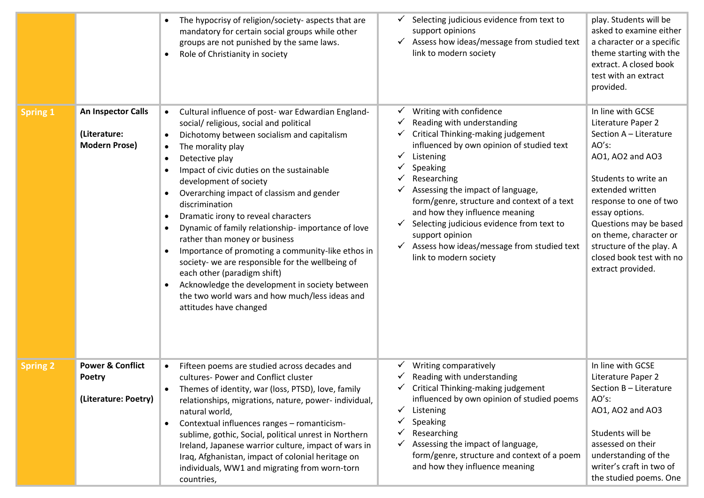|                 |                                                                      | The hypocrisy of religion/society- aspects that are<br>mandatory for certain social groups while other<br>groups are not punished by the same laws.<br>Role of Christianity in society<br>$\bullet$                                                                                                                                                                                                                                                                                                                                                                                                                                                                                                                                                                                   | Selecting judicious evidence from text to<br>support opinions<br>Assess how ideas/message from studied text<br>link to modern society                                                                                                                                                                                                                                                                                                                               | play. Students will be<br>asked to examine either<br>a character or a specific<br>theme starting with the<br>extract. A closed book<br>test with an extract<br>provided.                                                                                                                                                |
|-----------------|----------------------------------------------------------------------|---------------------------------------------------------------------------------------------------------------------------------------------------------------------------------------------------------------------------------------------------------------------------------------------------------------------------------------------------------------------------------------------------------------------------------------------------------------------------------------------------------------------------------------------------------------------------------------------------------------------------------------------------------------------------------------------------------------------------------------------------------------------------------------|---------------------------------------------------------------------------------------------------------------------------------------------------------------------------------------------------------------------------------------------------------------------------------------------------------------------------------------------------------------------------------------------------------------------------------------------------------------------|-------------------------------------------------------------------------------------------------------------------------------------------------------------------------------------------------------------------------------------------------------------------------------------------------------------------------|
| <b>Spring 1</b> | An Inspector Calls<br>(Literature:<br><b>Modern Prose)</b>           | Cultural influence of post- war Edwardian England-<br>social/ religious, social and political<br>Dichotomy between socialism and capitalism<br>$\bullet$<br>The morality play<br>$\bullet$<br>Detective play<br>$\bullet$<br>Impact of civic duties on the sustainable<br>development of society<br>Overarching impact of classism and gender<br>discrimination<br>Dramatic irony to reveal characters<br>$\bullet$<br>Dynamic of family relationship- importance of love<br>٠<br>rather than money or business<br>Importance of promoting a community-like ethos in<br>society- we are responsible for the wellbeing of<br>each other (paradigm shift)<br>Acknowledge the development in society between<br>the two world wars and how much/less ideas and<br>attitudes have changed | Writing with confidence<br>v<br>Reading with understanding<br>Critical Thinking-making judgement<br>influenced by own opinion of studied text<br>Listening<br>Speaking<br>Researching<br>Assessing the impact of language,<br>form/genre, structure and context of a text<br>and how they influence meaning<br>Selecting judicious evidence from text to<br>support opinion<br>Assess how ideas/message from studied text<br>$\checkmark$<br>link to modern society | In line with GCSE<br>Literature Paper 2<br>Section A - Literature<br>AO's:<br>AO1, AO2 and AO3<br>Students to write an<br>extended written<br>response to one of two<br>essay options.<br>Questions may be based<br>on theme, character or<br>structure of the play. A<br>closed book test with no<br>extract provided. |
| <b>Spring 2</b> | <b>Power &amp; Conflict</b><br><b>Poetry</b><br>(Literature: Poetry) | Fifteen poems are studied across decades and<br>cultures- Power and Conflict cluster<br>Themes of identity, war (loss, PTSD), love, family<br>relationships, migrations, nature, power-individual,<br>natural world,<br>Contextual influences ranges - romanticism-<br>$\bullet$<br>sublime, gothic, Social, political unrest in Northern<br>Ireland, Japanese warrior culture, impact of wars in<br>Iraq, Afghanistan, impact of colonial heritage on<br>individuals, WW1 and migrating from worn-torn<br>countries,                                                                                                                                                                                                                                                                 | Writing comparatively<br>Reading with understanding<br>Critical Thinking-making judgement<br>influenced by own opinion of studied poems<br>$\checkmark$<br>Listening<br>Speaking<br>Researching<br>Assessing the impact of language,<br>form/genre, structure and context of a poem<br>and how they influence meaning                                                                                                                                               | In line with GCSE<br>Literature Paper 2<br>Section B - Literature<br>AO's:<br>AO1, AO2 and AO3<br>Students will be<br>assessed on their<br>understanding of the<br>writer's craft in two of<br>the studied poems. One                                                                                                   |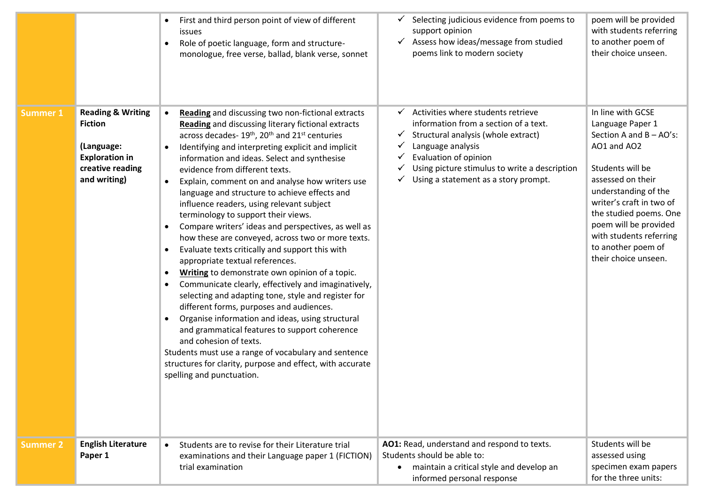|                 |                                                                                                                           | First and third person point of view of different<br>$\bullet$<br><b>issues</b><br>Role of poetic language, form and structure-<br>monologue, free verse, ballad, blank verse, sonnet                                                                                                                                                                                                                                                                                                                                                                                                                                                                                                                                                                                                                                                                                                                                                                                                                                                                                                                                                                                                                                                                                                                                                      | Selecting judicious evidence from poems to<br>support opinion<br>Assess how ideas/message from studied<br>✔<br>poems link to modern society                                                                                                                              | poem will be provided<br>with students referring<br>to another poem of<br>their choice unseen.                                                                                                                                                                                                              |
|-----------------|---------------------------------------------------------------------------------------------------------------------------|--------------------------------------------------------------------------------------------------------------------------------------------------------------------------------------------------------------------------------------------------------------------------------------------------------------------------------------------------------------------------------------------------------------------------------------------------------------------------------------------------------------------------------------------------------------------------------------------------------------------------------------------------------------------------------------------------------------------------------------------------------------------------------------------------------------------------------------------------------------------------------------------------------------------------------------------------------------------------------------------------------------------------------------------------------------------------------------------------------------------------------------------------------------------------------------------------------------------------------------------------------------------------------------------------------------------------------------------|--------------------------------------------------------------------------------------------------------------------------------------------------------------------------------------------------------------------------------------------------------------------------|-------------------------------------------------------------------------------------------------------------------------------------------------------------------------------------------------------------------------------------------------------------------------------------------------------------|
| <b>Summer 1</b> | <b>Reading &amp; Writing</b><br><b>Fiction</b><br>(Language:<br><b>Exploration in</b><br>creative reading<br>and writing) | Reading and discussing two non-fictional extracts<br>$\bullet$<br><b>Reading</b> and discussing literary fictional extracts<br>across decades-19 <sup>th</sup> , 20 <sup>th</sup> and 21 <sup>st</sup> centuries<br>Identifying and interpreting explicit and implicit<br>$\bullet$<br>information and ideas. Select and synthesise<br>evidence from different texts.<br>Explain, comment on and analyse how writers use<br>$\bullet$<br>language and structure to achieve effects and<br>influence readers, using relevant subject<br>terminology to support their views.<br>Compare writers' ideas and perspectives, as well as<br>$\bullet$<br>how these are conveyed, across two or more texts.<br>Evaluate texts critically and support this with<br>$\bullet$<br>appropriate textual references.<br>Writing to demonstrate own opinion of a topic.<br>$\bullet$<br>Communicate clearly, effectively and imaginatively,<br>$\bullet$<br>selecting and adapting tone, style and register for<br>different forms, purposes and audiences.<br>Organise information and ideas, using structural<br>$\bullet$<br>and grammatical features to support coherence<br>and cohesion of texts.<br>Students must use a range of vocabulary and sentence<br>structures for clarity, purpose and effect, with accurate<br>spelling and punctuation. | Activities where students retrieve<br>✓<br>information from a section of a text.<br>Structural analysis (whole extract)<br>Y<br>Language analysis<br>Evaluation of opinion<br>Using picture stimulus to write a description<br>✔<br>Using a statement as a story prompt. | In line with GCSE<br>Language Paper 1<br>Section A and $B - AO's$ :<br>AO1 and AO2<br>Students will be<br>assessed on their<br>understanding of the<br>writer's craft in two of<br>the studied poems. One<br>poem will be provided<br>with students referring<br>to another poem of<br>their choice unseen. |
| Summer 2        | <b>English Literature</b><br>Paper 1                                                                                      | Students are to revise for their Literature trial<br>$\bullet$<br>examinations and their Language paper 1 (FICTION)<br>trial examination                                                                                                                                                                                                                                                                                                                                                                                                                                                                                                                                                                                                                                                                                                                                                                                                                                                                                                                                                                                                                                                                                                                                                                                                   | AO1: Read, understand and respond to texts.<br>Students should be able to:<br>maintain a critical style and develop an<br>$\bullet$<br>informed personal response                                                                                                        | Students will be<br>assessed using<br>specimen exam papers<br>for the three units:                                                                                                                                                                                                                          |